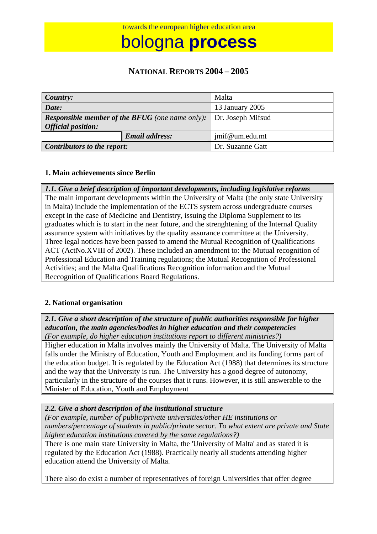bologna **process**

## **NATIONAL REPORTS 2004 – 2005**

| Country:                                                                            |                       | Malta             |
|-------------------------------------------------------------------------------------|-----------------------|-------------------|
| Date:                                                                               |                       | 13 January 2005   |
| <b>Responsible member of the BFUG</b> (one name only):<br><b>Official position:</b> |                       | Dr. Joseph Mifsud |
|                                                                                     | <b>Email address:</b> | jmif@um.edu.mt    |
| Contributors to the report:                                                         |                       | Dr. Suzanne Gatt  |

#### **1. Main achievements since Berlin**

*1.1. Give a brief description of important developments, including legislative reforms*  The main important developments within the University of Malta (the only state University in Malta) include the implementation of the ECTS system across undergraduate courses except in the case of Medicine and Dentistry, issuing the Diploma Supplement to its graduates which is to start in the near future, and the strenghtening of the Internal Quality assurance system with initiatives by the quality assurance committee at the University. Three legal notices have been passed to amend the Mutual Recognition of Qualifications ACT (ActNo.XVIII of 2002). These included an amendment to: the Mutual recognition of Professional Education and Training regulations; the Mutual Recognition of Professional Activities; and the Malta Qualifications Recognition information and the Mutual Reccognition of Qualifications Board Regulations.

#### **2. National organisation**

*2.1. Give a short description of the structure of public authorities responsible for higher education, the main agencies/bodies in higher education and their competencies (For example, do higher education institutions report to different ministries?)* 

Higher education in Malta involves mainly the University of Malta. The University of Malta falls under the Ministry of Education, Youth and Employment and its funding forms part of the education budget. It is regulated by the Education Act (1988) that determines its structure and the way that the University is run. The University has a good degree of autonomy, particularly in the structure of the courses that it runs. However, it is still answerable to the Minister of Education, Youth and Employment

*2.2. Give a short description of the institutional structure* 

*(For example, number of public/private universities/other HE institutions or numbers/percentage of students in public/private sector. To what extent are private and State higher education institutions covered by the same regulations?)* 

There is one main state University in Malta, the 'University of Malta' and as stated it is regulated by the Education Act (1988). Practically nearly all students attending higher education attend the University of Malta.

There also do exist a number of representatives of foreign Universities that offer degree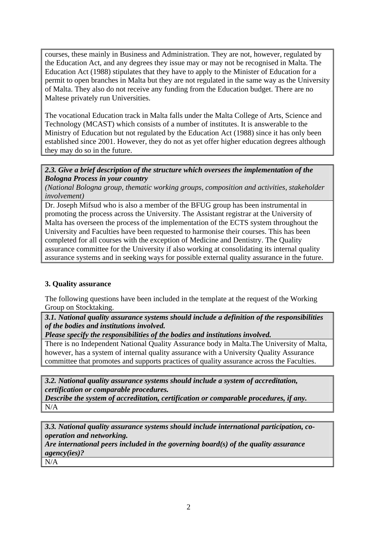courses, these mainly in Business and Administration. They are not, however, regulated by the Education Act, and any degrees they issue may or may not be recognised in Malta. The Education Act (1988) stipulates that they have to apply to the Minister of Education for a permit to open branches in Malta but they are not regulated in the same way as the University of Malta. They also do not receive any funding from the Education budget. There are no Maltese privately run Universities.

The vocational Education track in Malta falls under the Malta College of Arts, Science and Technology (MCAST) which consists of a number of institutes. It is answerable to the Ministry of Education but not regulated by the Education Act (1988) since it has only been established since 2001. However, they do not as yet offer higher education degrees although they may do so in the future.

*2.3. Give a brief description of the structure which oversees the implementation of the Bologna Process in your country*

*(National Bologna group, thematic working groups, composition and activities, stakeholder involvement)* 

Dr. Joseph Mifsud who is also a member of the BFUG group has been instrumental in promoting the process across the University. The Assistant registrar at the University of Malta has overseen the process of the implementation of the ECTS system throughout the University and Faculties have been requested to harmonise their courses. This has been completed for all courses with the exception of Medicine and Dentistry. The Quality assurance committee for the University if also working at consolidating its internal quality assurance systems and in seeking ways for possible external quality assurance in the future.

#### **3. Quality assurance**

The following questions have been included in the template at the request of the Working Group on Stocktaking.

*3.1. National quality assurance systems should include a definition of the responsibilities of the bodies and institutions involved.* 

*Please specify the responsibilities of the bodies and institutions involved.*

There is no Independent National Quality Assurance body in Malta.The University of Malta, however, has a system of internal quality assurance with a University Quality Assurance committee that promotes and supports practices of quality assurance across the Faculties.

*3.2. National quality assurance systems should include a system of accreditation, certification or comparable procedures.* 

*Describe the system of accreditation, certification or comparable procedures, if any.*  N/A

*3.3. National quality assurance systems should include international participation, cooperation and networking.* 

*Are international peers included in the governing board(s) of the quality assurance agency(ies)?* 

N/A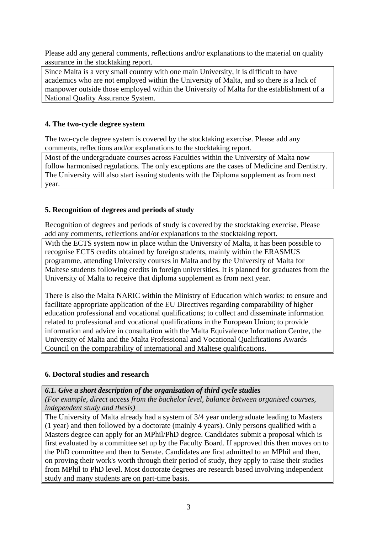Please add any general comments, reflections and/or explanations to the material on quality assurance in the stocktaking report.

Since Malta is a very small country with one main University, it is difficult to have academics who are not employed within the University of Malta, and so there is a lack of manpower outside those employed within the University of Malta for the establishment of a National Quality Assurance System.

### **4. The two-cycle degree system**

The two-cycle degree system is covered by the stocktaking exercise. Please add any comments, reflections and/or explanations to the stocktaking report.

Most of the undergraduate courses across Faculties within the University of Malta now follow harmonised regulations. The only exceptions are the cases of Medicine and Dentistry. The University will also start issuing students with the Diploma supplement as from next year.

#### **5. Recognition of degrees and periods of study**

Recognition of degrees and periods of study is covered by the stocktaking exercise. Please add any comments, reflections and/or explanations to the stocktaking report.

With the ECTS system now in place within the University of Malta, it has been possible to recognise ECTS credits obtained by foreign students, mainly within the ERASMUS programme, attending University courses in Malta and by the University of Malta for Maltese students following credits in foreign universities. It is planned for graduates from the University of Malta to receive that diploma supplement as from next year.

There is also the Malta NARIC within the Ministry of Education which works: to ensure and facilitate appropriate application of the EU Directives regarding comparability of higher education professional and vocational qualifications; to collect and disseminate information related to professional and vocational qualifications in the European Union; to provide information and advice in consultation with the Malta Equivalence Information Centre, the University of Malta and the Malta Professional and Vocational Qualifications Awards Council on the comparability of international and Maltese qualifications.

#### **6. Doctoral studies and research**

*6.1. Give a short description of the organisation of third cycle studies* 

*(For example, direct access from the bachelor level, balance between organised courses, independent study and thesis)*

The University of Malta already had a system of 3/4 year undergraduate leading to Masters (1 year) and then followed by a doctorate (mainly 4 years). Only persons qualified with a Masters degree can apply for an MPhil/PhD degree. Candidates submit a proposal which is first evaluated by a committee set up by the Faculty Board. If approved this then moves on to the PhD committee and then to Senate. Candidates are first admitted to an MPhil and then, on proving their work's worth through their period of study, they apply to raise their studies from MPhil to PhD level. Most doctorate degrees are research based involving independent study and many students are on part-time basis.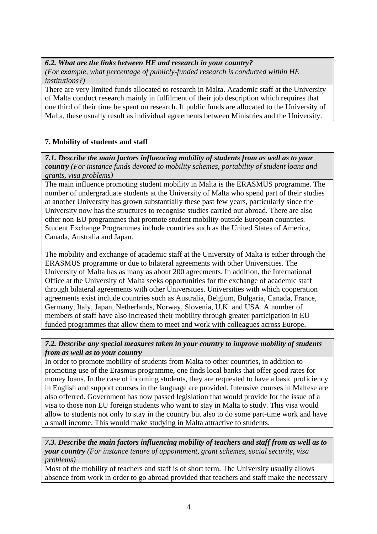*6.2. What are the links between HE and research in your country? (For example, what percentage of publicly-funded research is conducted within HE institutions?)* 

There are very limited funds allocated to research in Malta. Academic staff at the University of Malta conduct research mainly in fulfilment of their job description which requires that one third of their time be spent on research. If public funds are allocated to the University of Malta, these usually result as individual agreements between Ministries and the University.

## **7. Mobility of students and staff**

*7.1. Describe the main factors influencing mobility of students from as well as to your country (For instance funds devoted to mobility schemes, portability of student loans and grants, visa problems)* 

The main influence promoting student mobility in Malta is the ERASMUS programme. The number of undergraduate students at the University of Malta who spend part of their studies at another University has grown substantially these past few years, particularly since the University now has the structures to recognise studies carried out abroad. There are also other non-EU programmes that promote student mobility outside European countries. Student Exchange Programmes include countries such as the United States of America, Canada, Australia and Japan.

The mobility and exchange of academic staff at the University of Malta is either through the ERASMUS programme or due to bilateral agreements with other Universities. The University of Malta has as many as about 200 agreements. In addition, the International Office at the University of Malta seeks opportunities for the exchange of academic staff through bilateral agreements with other Universities. Universities with which cooperation agreements exist include countries such as Australia, Belgium, Bulgaria, Canada, France, Germany, Italy, Japan, Netherlands, Norway, Slovenia, U.K. and USA. A number of members of staff have also increased their mobility through greater participation in EU funded programmes that allow them to meet and work with colleagues across Europe.

#### *7.2. Describe any special measures taken in your country to improve mobility of students from as well as to your country*

In order to promote mobility of students from Malta to other countries, in addition to promoting use of the Erasmus programme, one finds local banks that offer good rates for money loans. In the case of incoming students, they are requested to have a basic proficiency in English and support courses in the language are provided. Intensive courses in Maltese are also offerred. Government has now passed legislation that would provide for the issue of a visa to those non EU foreign students who want to stay in Malta to study. This visa would allow to students not only to stay in the country but also to do some part-time work and have a small income. This would make studying in Malta attractive to students.

*7.3. Describe the main factors influencing mobility of teachers and staff from as well as to your country (For instance tenure of appointment, grant schemes, social security, visa problems)* 

Most of the mobility of teachers and staff is of short term. The University usually allows absence from work in order to go abroad provided that teachers and staff make the necessary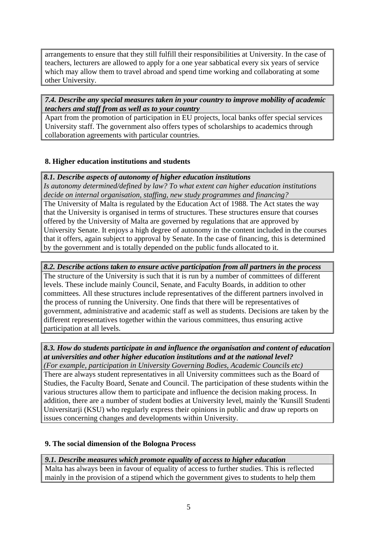arrangements to ensure that they still fulfill their responsibilities at University. In the case of teachers, lecturers are allowed to apply for a one year sabbatical every six years of service which may allow them to travel abroad and spend time working and collaborating at some other University.

#### *7.4. Describe any special measures taken in your country to improve mobility of academic teachers and staff from as well as to your country*

Apart from the promotion of participation in EU projects, local banks offer special services University staff. The government also offers types of scholarships to academics through collaboration agreements with particular countries.

#### **8. Higher education institutions and students**

*8.1. Describe aspects of autonomy of higher education institutions*

*Is autonomy determined/defined by law? To what extent can higher education institutions decide on internal organisation, staffing, new study programmes and financing?* 

The University of Malta is regulated by the Education Act of 1988. The Act states the way that the University is organised in terms of structures. These structures ensure that courses offered by the University of Malta are governed by regulations that are approved by University Senate. It enjoys a high degree of autonomy in the content included in the courses that it offers, again subject to approval by Senate. In the case of financing, this is determined by the government and is totally depended on the public funds allocated to it.

### *8.2. Describe actions taken to ensure active participation from all partners in the process*

The structure of the University is such that it is run by a number of committees of different levels. These include mainly Council, Senate, and Faculty Boards, in addition to other committees. All these structures include representatives of the different partners involved in the process of running the University. One finds that there will be representatives of government, administrative and academic staff as well as students. Decisions are taken by the different representatives together within the various committees, thus ensuring active participation at all levels.

# *8.3. How do students participate in and influence the organisation and content of education at universities and other higher education institutions and at the national level?*

*(For example, participation in University Governing Bodies, Academic Councils etc)*  There are always student representatives in all University committees such as the Board of Studies, the Faculty Board, Senate and Council. The participation of these students within the various structures allow them to participate and influence the decision making process. In addition, there are a number of student bodies at University level, mainly the 'Kunsill Studenti Universitarji (KSU) who regularly express their opinions in public and draw up reports on issues concerning changes and developments within University.

## **9. The social dimension of the Bologna Process**

## *9.1. Describe measures which promote equality of access to higher education*

Malta has always been in favour of equality of access to further studies. This is reflected mainly in the provision of a stipend which the government gives to students to help them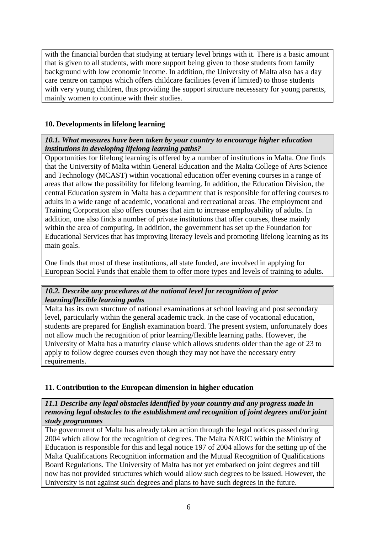with the financial burden that studying at tertiary level brings with it. There is a basic amount that is given to all students, with more support being given to those students from family background with low economic income. In addition, the University of Malta also has a day care centre on campus which offers childcare facilities (even if limited) to those students with very young children, thus providing the support structure necesssary for young parents, mainly women to continue with their studies.

### **10. Developments in lifelong learning**

#### *10.1. What measures have been taken by your country to encourage higher education institutions in developing lifelong learning paths?*

Opportunities for lifelong learning is offered by a number of institutions in Malta. One finds that the University of Malta within General Education and the Malta College of Arts Science and Technology (MCAST) within vocational education offer evening courses in a range of areas that allow the possibility for lifelong learning. In addition, the Education Division, the central Education system in Malta has a department that is responsible for offering courses to adults in a wide range of academic, vocational and recreational areas. The employment and Training Corporation also offers courses that aim to increase employability of adults. In addition, one also finds a number of private institutions that offer courses, these mainly within the area of computing. In addition, the government has set up the Foundation for Educational Services that has improving literacy levels and promoting lifelong learning as its main goals.

One finds that most of these institutions, all state funded, are involved in applying for European Social Funds that enable them to offer more types and levels of training to adults.

#### *10.2. Describe any procedures at the national level for recognition of prior learning/flexible learning paths*

Malta has its own sturcture of national examinations at school leaving and post secondary level, particularly within the general academic track. In the case of vocational education, students are prepared for English examination board. The present system, unfortunately does not allow much the recognition of prior learning/flexible learning paths. However, the University of Malta has a maturity clause which allows students older than the age of 23 to apply to follow degree courses even though they may not have the necessary entry requirements.

#### **11. Contribution to the European dimension in higher education**

*11.1 Describe any legal obstacles identified by your country and any progress made in removing legal obstacles to the establishment and recognition of joint degrees and/or joint study programmes* 

The government of Malta has already taken action through the legal notices passed during 2004 which allow for the recognition of degrees. The Malta NARIC within the Ministry of Education is responsible for this and legal notice 197 of 2004 allows for the setting up of the Malta Qualifications Recognition information and the Mutual Recognition of Qualifications Board Regulations. The University of Malta has not yet embarked on joint degrees and till now has not provided structures which would allow such degrees to be issued. However, the University is not against such degrees and plans to have such degrees in the future.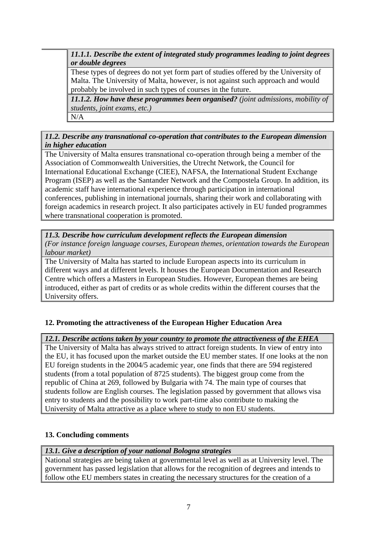*11.1.1. Describe the extent of integrated study programmes leading to joint degrees or double degrees* 

 These types of degrees do not yet form part of studies offered by the University of Malta. The University of Malta, however, is not against such approach and would probably be involved in such types of courses in the future.

*11.1.2. How have these programmes been organised? (joint admissions, mobility of students, joint exams, etc.)*

N/A

### *11.2. Describe any transnational co-operation that contributes to the European dimension in higher education*

The University of Malta ensures transnational co-operation through being a member of the Association of Commonwealth Universities, the Utrecht Network, the Council for International Educational Exchange (CIEE), NAFSA, the International Student Exchange Program (ISEP) as well as the Santander Network and the Compostela Group. In addition, its academic staff have international experience through participation in international conferences, publishing in international journals, sharing their work and collaborating with foreign academics in research project. It also participates actively in EU funded programmes where transnational cooperation is promoted.

## *11.3. Describe how curriculum development reflects the European dimension*

*(For instance foreign language courses, European themes, orientation towards the European labour market)* 

The University of Malta has started to include European aspects into its curriculum in different ways and at different levels. It houses the European Documentation and Research Centre which offers a Masters in European Studies. However, European themes are being introduced, either as part of credits or as whole credits within the different courses that the University offers.

# **12. Promoting the attractiveness of the European Higher Education Area**

## *12.1. Describe actions taken by your country to promote the attractiveness of the EHEA*

The University of Malta has always strived to attract foreign students. In view of entry into the EU, it has focused upon the market outside the EU member states. If one looks at the non EU foreign students in the 2004/5 academic year, one finds that there are 594 registered students (from a total population of 8725 students). The biggest group come from the republic of China at 269, followed by Bulgaria with 74. The main type of courses that students follow are English courses. The legislation passed by government that allows visa entry to students and the possibility to work part-time also contribute to making the University of Malta attractive as a place where to study to non EU students.

## **13. Concluding comments**

## *13.1. Give a description of your national Bologna strategies*

National strategies are being taken at governmental level as well as at University level. The government has passed legislation that allows for the recognition of degrees and intends to follow othe EU members states in creating the necessary structures for the creation of a